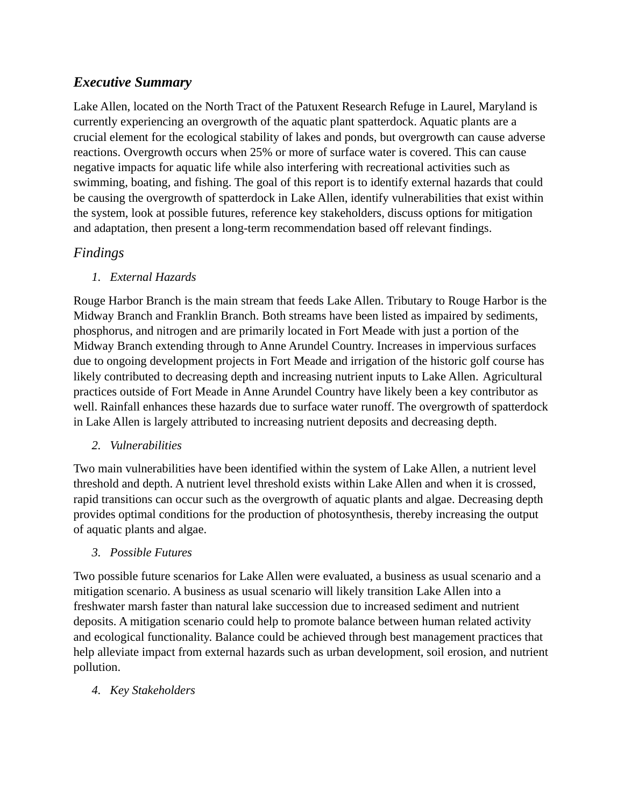# *Executive Summary*

Lake Allen, located on the North Tract of the Patuxent Research Refuge in Laurel, Maryland is currently experiencing an overgrowth of the aquatic plant spatterdock. Aquatic plants are a crucial element for the ecological stability of lakes and ponds, but overgrowth can cause adverse reactions. Overgrowth occurs when 25% or more of surface water is covered. This can cause negative impacts for aquatic life while also interfering with recreational activities such as swimming, boating, and fishing. The goal of this report is to identify external hazards that could be causing the overgrowth of spatterdock in Lake Allen, identify vulnerabilities that exist within the system, look at possible futures, reference key stakeholders, discuss options for mitigation and adaptation, then present a long-term recommendation based off relevant findings.

# *Findings*

## *1. External Hazards*

Rouge Harbor Branch is the main stream that feeds Lake Allen. Tributary to Rouge Harbor is the Midway Branch and Franklin Branch. Both streams have been listed as impaired by sediments, phosphorus, and nitrogen and are primarily located in Fort Meade with just a portion of the Midway Branch extending through to Anne Arundel Country. Increases in impervious surfaces due to ongoing development projects in Fort Meade and irrigation of the historic golf course has likely contributed to decreasing depth and increasing nutrient inputs to Lake Allen. Agricultural practices outside of Fort Meade in Anne Arundel Country have likely been a key contributor as well. Rainfall enhances these hazards due to surface water runoff. The overgrowth of spatterdock in Lake Allen is largely attributed to increasing nutrient deposits and decreasing depth.

### *2. Vulnerabilities*

Two main vulnerabilities have been identified within the system of Lake Allen, a nutrient level threshold and depth. A nutrient level threshold exists within Lake Allen and when it is crossed, rapid transitions can occur such as the overgrowth of aquatic plants and algae. Decreasing depth provides optimal conditions for the production of photosynthesis, thereby increasing the output of aquatic plants and algae.

### *3. Possible Futures*

Two possible future scenarios for Lake Allen were evaluated, a business as usual scenario and a mitigation scenario. A business as usual scenario will likely transition Lake Allen into a freshwater marsh faster than natural lake succession due to increased sediment and nutrient deposits. A mitigation scenario could help to promote balance between human related activity and ecological functionality. Balance could be achieved through best management practices that help alleviate impact from external hazards such as urban development, soil erosion, and nutrient pollution.

## *4. Key Stakeholders*